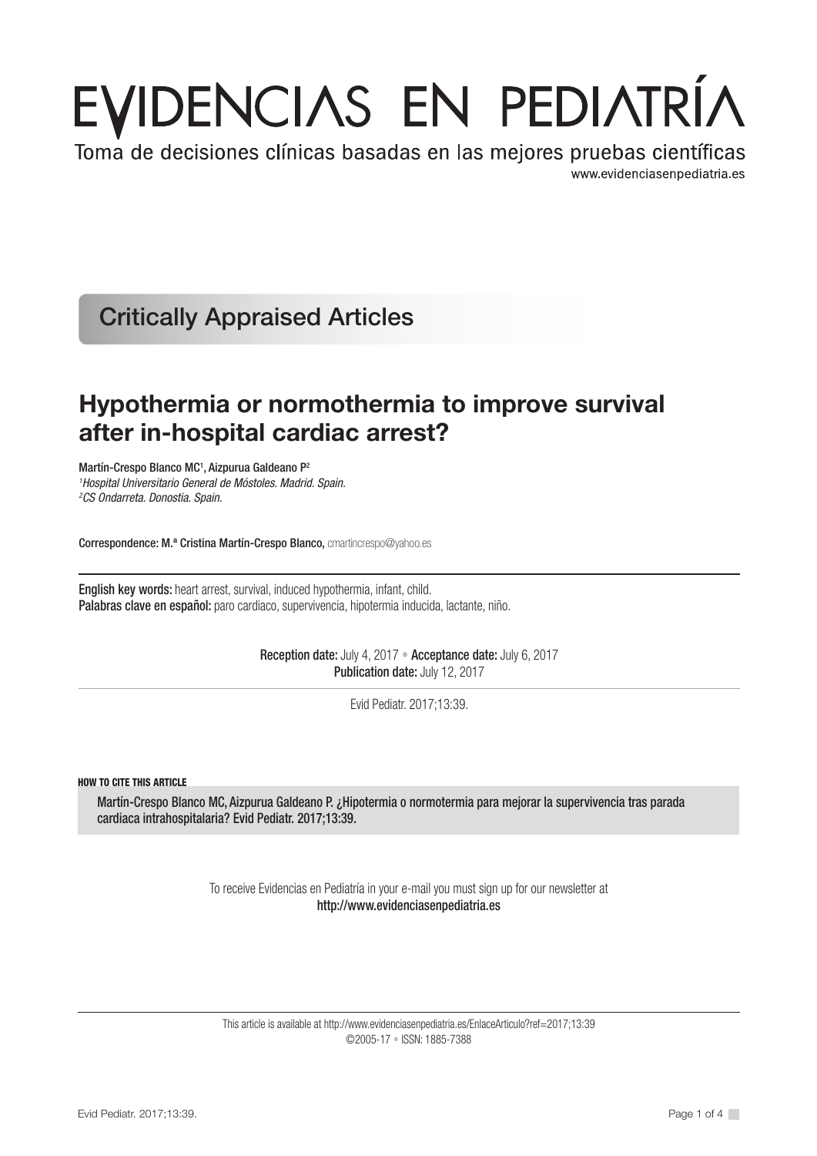# EVIDENCIAS EN PEDIATRÍA

Toma de decisiones clínicas basadas en las mejores pruebas científicas www.evidenciasenpediatria.es

Critically Appraised Articles

# Hypothermia or normothermia to improve survival after in-hospital cardiac arrest?

Martín-Crespo Blanco MC<sup>1</sup>, Aizpurua Galdeano P<sup>2</sup> *1 Hospital Universitario General de Móstoles. Madrid. Spain. 2 CS Ondarreta. Donostia. Spain.*

Correspondence: M.ª Cristina Martín-Crespo Blanco, cmartincrespo@yahoo.es

English key words: heart arrest, survival, induced hypothermia, infant, child. Palabras clave en español: paro cardiaco, supervivencia, hipotermia inducida, lactante, niño.

> Reception date: July 4, 2017 • Acceptance date: July 6, 2017 Publication date: July 12, 2017

> > Evid Pediatr. 2017;13:39.

HOW TO CITE THIS ARTICLE

Martín-Crespo Blanco MC, Aizpurua Galdeano P. ¿Hipotermia o normotermia para mejorar la supervivencia tras parada cardiaca intrahospitalaria? Evid Pediatr. 2017;13:39.

> To receive Evidencias en Pediatría in your e-mail you must sign up for our newsletter at http://www.evidenciasenpediatria.es

This article is available at http://www.evidenciasenpediatria.es/EnlaceArticulo?ref=2017;13:39 ©2005-17 • ISSN: 1885-7388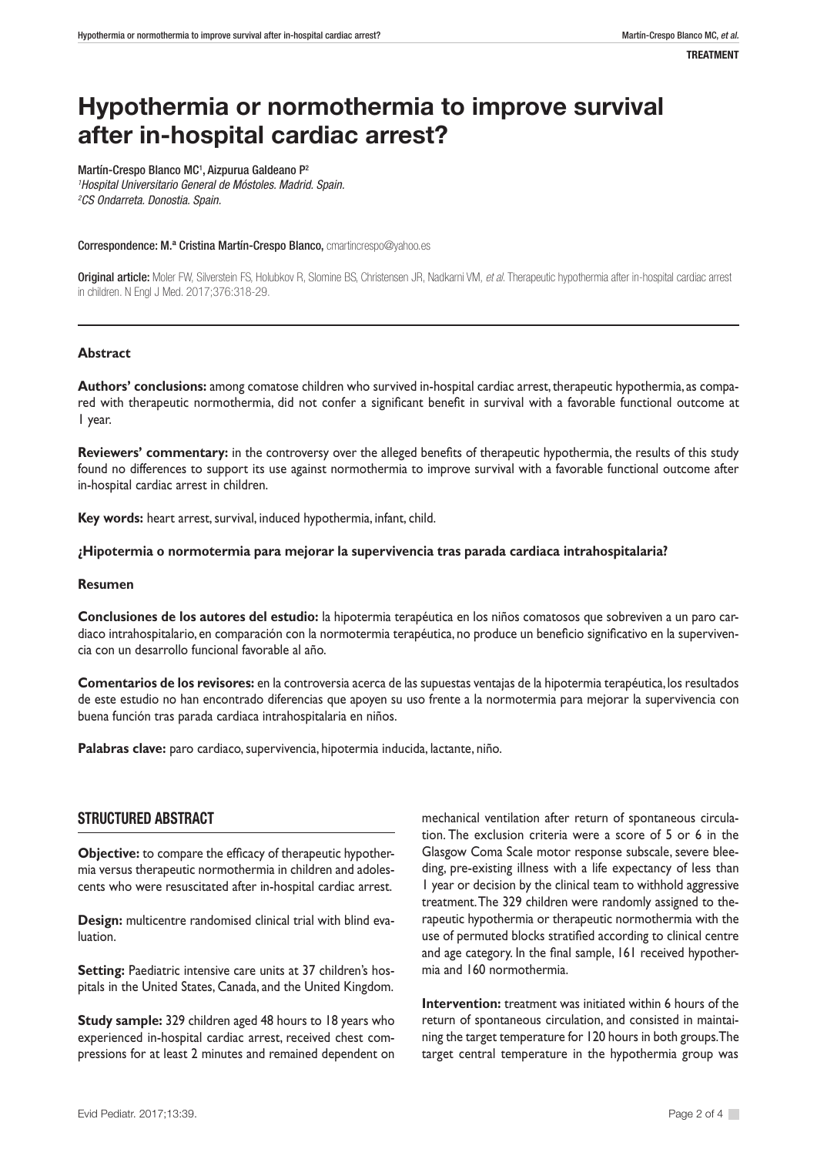# Hypothermia or normothermia to improve survival after in-hospital cardiac arrest?

Martín-Crespo Blanco MC<sup>1</sup>, Aizpurua Galdeano P<sup>2</sup> *1 Hospital Universitario General de Móstoles. Madrid. Spain. 2 CS Ondarreta. Donostia. Spain.*

Correspondence: M.ª Cristina Martín-Crespo Blanco, cmartincrespo@yahoo.es

Original article: Moler FW, Silverstein FS, Holubkov R, Slomine BS, Christensen JR, Nadkarni VM, *et al*. Therapeutic hypothermia after in-hospital cardiac arrest in children. N Engl J Med. 2017;376:318-29.

#### **Abstract**

**Authors' conclusions:** among comatose children who survived in-hospital cardiac arrest, therapeutic hypothermia, as compared with therapeutic normothermia, did not confer a significant benefit in survival with a favorable functional outcome at 1 year.

**Reviewers' commentary:** in the controversy over the alleged benefits of therapeutic hypothermia, the results of this study found no differences to support its use against normothermia to improve survival with a favorable functional outcome after in-hospital cardiac arrest in children.

**Key words:** heart arrest, survival, induced hypothermia, infant, child.

#### **¿Hipotermia o normotermia para mejorar la supervivencia tras parada cardiaca intrahospitalaria?**

#### **Resumen**

**Conclusiones de los autores del estudio:** la hipotermia terapéutica en los niños comatosos que sobreviven a un paro cardiaco intrahospitalario, en comparación con la normotermia terapéutica, no produce un beneficio significativo en la supervivencia con un desarrollo funcional favorable al año.

**Comentarios de los revisores:** en la controversia acerca de las supuestas ventajas de la hipotermia terapéutica, los resultados de este estudio no han encontrado diferencias que apoyen su uso frente a la normotermia para mejorar la supervivencia con buena función tras parada cardiaca intrahospitalaria en niños.

**Palabras clave:** paro cardiaco, supervivencia, hipotermia inducida, lactante, niño.

## STRUCTURED ABSTRACT

**Objective:** to compare the efficacy of therapeutic hypothermia versus therapeutic normothermia in children and adolescents who were resuscitated after in-hospital cardiac arrest.

**Design:** multicentre randomised clinical trial with blind evaluation.

**Setting:** Paediatric intensive care units at 37 children's hospitals in the United States, Canada, and the United Kingdom.

**Study sample:** 329 children aged 48 hours to 18 years who experienced in-hospital cardiac arrest, received chest compressions for at least 2 minutes and remained dependent on mechanical ventilation after return of spontaneous circulation. The exclusion criteria were a score of 5 or 6 in the Glasgow Coma Scale motor response subscale, severe bleeding, pre-existing illness with a life expectancy of less than 1 year or decision by the clinical team to withhold aggressive treatment. The 329 children were randomly assigned to therapeutic hypothermia or therapeutic normothermia with the use of permuted blocks stratified according to clinical centre and age category. In the final sample, 161 received hypothermia and 160 normothermia.

**Intervention:** treatment was initiated within 6 hours of the return of spontaneous circulation, and consisted in maintaining the target temperature for 120 hours in both groups. The target central temperature in the hypothermia group was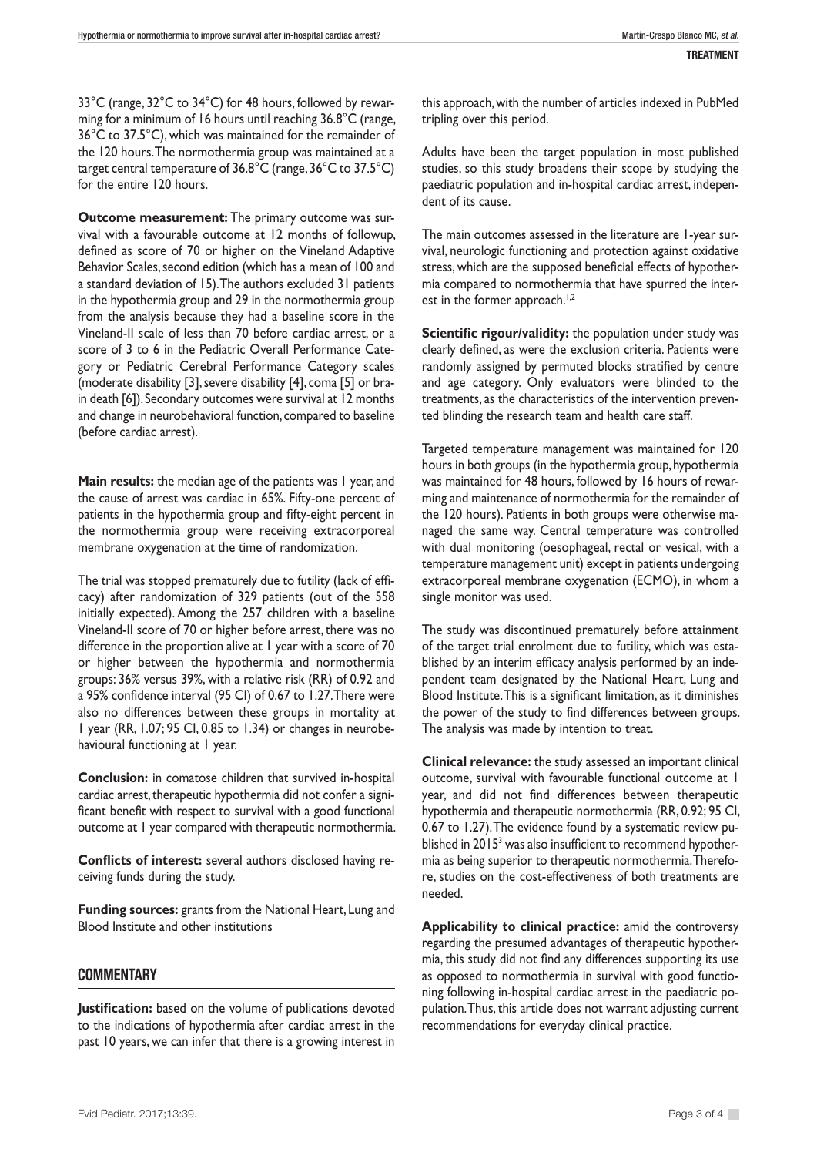33°C (range, 32°C to 34°C) for 48 hours, followed by rewarming for a minimum of 16 hours until reaching 36.8°C (range, 36°C to 37.5°C), which was maintained for the remainder of the 120 hours. The normothermia group was maintained at a target central temperature of 36.8°C (range, 36°C to 37.5°C) for the entire 120 hours.

**Outcome measurement:** The primary outcome was survival with a favourable outcome at 12 months of followup, defined as score of 70 or higher on the Vineland Adaptive Behavior Scales, second edition (which has a mean of 100 and a standard deviation of 15). The authors excluded 31 patients in the hypothermia group and 29 in the normothermia group from the analysis because they had a baseline score in the Vineland-II scale of less than 70 before cardiac arrest, or a score of 3 to 6 in the Pediatric Overall Performance Category or Pediatric Cerebral Performance Category scales (moderate disability [3], severe disability [4], coma [5] or brain death [6]). Secondary outcomes were survival at 12 months and change in neurobehavioral function, compared to baseline (before cardiac arrest).

**Main results:** the median age of the patients was 1 year, and the cause of arrest was cardiac in 65%. Fifty-one percent of patients in the hypothermia group and fifty-eight percent in the normothermia group were receiving extracorporeal membrane oxygenation at the time of randomization.

The trial was stopped prematurely due to futility (lack of efficacy) after randomization of 329 patients (out of the 558 initially expected). Among the 257 children with a baseline Vineland-II score of 70 or higher before arrest, there was no difference in the proportion alive at 1 year with a score of 70 or higher between the hypothermia and normothermia groups: 36% versus 39%, with a relative risk (RR) of 0.92 and a 95% confidence interval (95 CI) of 0.67 to 1.27. There were also no differences between these groups in mortality at 1 year (RR, 1.07; 95 CI, 0.85 to 1.34) or changes in neurobehavioural functioning at 1 year.

**Conclusion:** in comatose children that survived in-hospital cardiac arrest, therapeutic hypothermia did not confer a significant benefit with respect to survival with a good functional outcome at 1 year compared with therapeutic normothermia.

**Conflicts of interest:** several authors disclosed having receiving funds during the study.

**Funding sources:** grants from the National Heart, Lung and Blood Institute and other institutions

## **COMMENTARY**

**Justification:** based on the volume of publications devoted to the indications of hypothermia after cardiac arrest in the past 10 years, we can infer that there is a growing interest in this approach, with the number of articles indexed in PubMed tripling over this period.

Adults have been the target population in most published studies, so this study broadens their scope by studying the paediatric population and in-hospital cardiac arrest, independent of its cause.

The main outcomes assessed in the literature are 1-year survival, neurologic functioning and protection against oxidative stress, which are the supposed beneficial effects of hypothermia compared to normothermia that have spurred the interest in the former approach.<sup>1,2</sup>

**Scientific rigour/validity:** the population under study was clearly defined, as were the exclusion criteria. Patients were randomly assigned by permuted blocks stratified by centre and age category. Only evaluators were blinded to the treatments, as the characteristics of the intervention prevented blinding the research team and health care staff.

Targeted temperature management was maintained for 120 hours in both groups (in the hypothermia group, hypothermia was maintained for 48 hours, followed by 16 hours of rewarming and maintenance of normothermia for the remainder of the 120 hours). Patients in both groups were otherwise managed the same way. Central temperature was controlled with dual monitoring (oesophageal, rectal or vesical, with a temperature management unit) except in patients undergoing extracorporeal membrane oxygenation (ECMO), in whom a single monitor was used.

The study was discontinued prematurely before attainment of the target trial enrolment due to futility, which was established by an interim efficacy analysis performed by an independent team designated by the National Heart, Lung and Blood Institute. This is a significant limitation, as it diminishes the power of the study to find differences between groups. The analysis was made by intention to treat.

**Clinical relevance:** the study assessed an important clinical outcome, survival with favourable functional outcome at 1 year, and did not find differences between therapeutic hypothermia and therapeutic normothermia (RR, 0.92; 95 CI, 0.67 to 1.27). The evidence found by a systematic review published in 2015<sup>3</sup> was also insufficient to recommend hypothermia as being superior to therapeutic normothermia. Therefore, studies on the cost-effectiveness of both treatments are needed.

**Applicability to clinical practice:** amid the controversy regarding the presumed advantages of therapeutic hypothermia, this study did not find any differences supporting its use as opposed to normothermia in survival with good functioning following in-hospital cardiac arrest in the paediatric population. Thus, this article does not warrant adjusting current recommendations for everyday clinical practice.